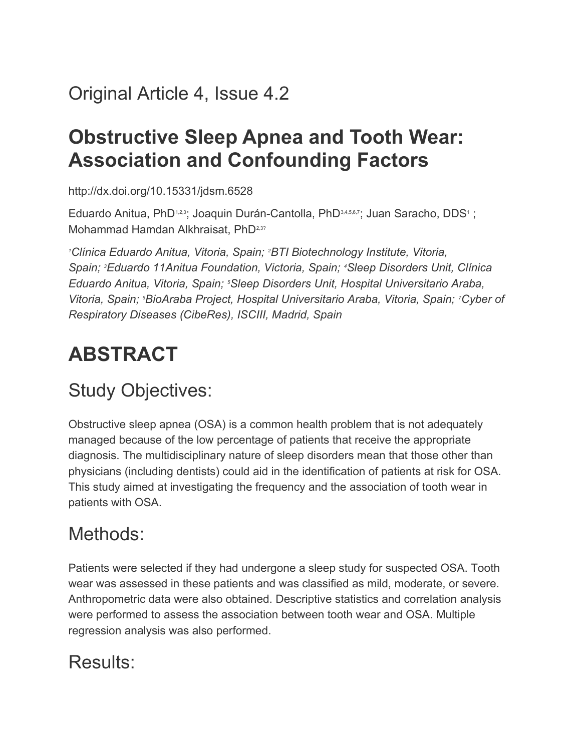## Original Article 4, Issue 4.2

## **Obstructive Sleep Apnea and Tooth Wear: Association and Confounding Factors**

http://dx.doi.org/10.15331/jdsm.6528

Eduardo Anitua, PhD<sup>1,2,3</sup>; Joaquin Durán-Cantolla, PhD<sup>3,4,5,6,7</sup>; Juan Saracho, DDS<sup>1</sup>; Mohammad Hamdan Alkhraisat, PhD<sup>2,3?</sup>

*<sup>1</sup>Clínica Eduardo Anitua, Vitoria, Spain; <sup>2</sup>BTI Biotechnology Institute, Vitoria, Spain; <sup>3</sup>Eduardo 11Anitua Foundation, Victoria, Spain; <sup>4</sup>Sleep Disorders Unit, Clínica Eduardo Anitua, Vitoria, Spain; <sup>5</sup>Sleep Disorders Unit, Hospital Universitario Araba, Vitoria, Spain; <sup>6</sup>BioAraba Project, Hospital Universitario Araba, Vitoria, Spain; <sup>7</sup>Cyber of Respiratory Diseases (CibeRes), ISCIII, Madrid, Spain*

# **ABSTRACT**

#### Study Objectives:

Obstructive sleep apnea (OSA) is a common health problem that is not adequately managed because of the low percentage of patients that receive the appropriate diagnosis. The multidisciplinary nature of sleep disorders mean that those other than physicians (including dentists) could aid in the identification of patients at risk for OSA. This study aimed at investigating the frequency and the association of tooth wear in patients with OSA.

#### Methods:

Patients were selected if they had undergone a sleep study for suspected OSA. Tooth wear was assessed in these patients and was classified as mild, moderate, or severe. Anthropometric data were also obtained. Descriptive statistics and correlation analysis were performed to assess the association between tooth wear and OSA. Multiple regression analysis was also performed.

### Results: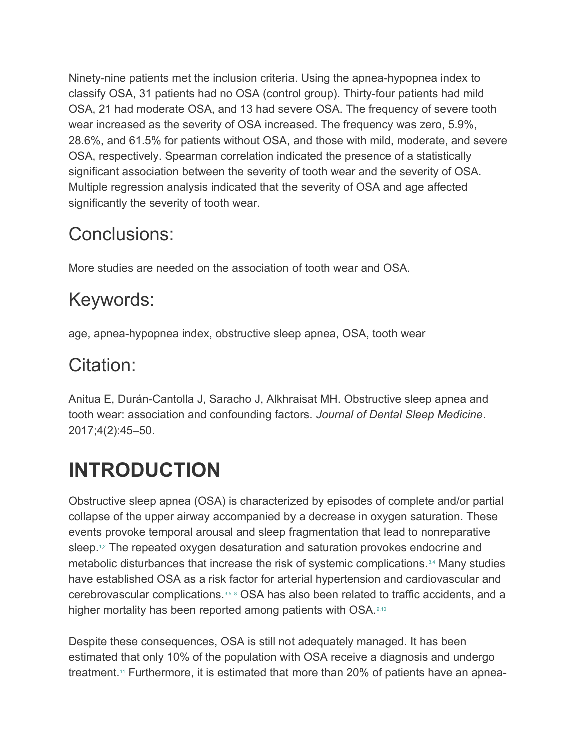Ninety-nine patients met the inclusion criteria. Using the apnea-hypopnea index to classify OSA, 31 patients had no OSA (control group). Thirty-four patients had mild OSA, 21 had moderate OSA, and 13 had severe OSA. The frequency of severe tooth wear increased as the severity of OSA increased. The frequency was zero, 5.9%, 28.6%, and 61.5% for patients without OSA, and those with mild, moderate, and severe OSA, respectively. Spearman correlation indicated the presence of a statistically significant association between the severity of tooth wear and the severity of OSA. Multiple regression analysis indicated that the severity of OSA and age affected significantly the severity of tooth wear.

### Conclusions:

More studies are needed on the association of tooth wear and OSA.

### Keywords:

age, apnea-hypopnea index, obstructive sleep apnea, OSA, tooth wear

#### Citation:

Anitua E, Durán-Cantolla J, Saracho J, Alkhraisat MH. Obstructive sleep apnea and tooth wear: association and confounding factors. *Journal of Dental Sleep Medicine*. 2017;4(2):45–50.

# **INTRODUCTION**

Obstructive sleep apnea (OSA) is characterized by episodes of complete and/or partial collapse of the upper airway accompanied by a decrease in oxygen saturation. These events provoke temporal arousal and sleep fragmentation that lead to nonreparative sleep.<sup>[1,](https://aadsm.org/journal/original_article_4_issue_42.php#1)[2](https://aadsm.org/journal/original_article_4_issue_42.php#2)</sup> The repeated oxygen desaturation and saturation provokes endocrine and metabolic disturbances that increase the risk of systemic complications.<sup>[3](https://aadsm.org/journal/original_article_4_issue_42.php#3)[,4](https://aadsm.org/journal/original_article_4_issue_42.php#4)</sup> Many studies have established OSA as a risk factor for arterial hypertension and cardiovascular and cerebrovascular complications.[3](https://aadsm.org/journal/original_article_4_issue_42.php#3)[,5–8](https://aadsm.org/journal/original_article_4_issue_42.php#5) OSA has also been related to traffic accidents, and a higher mortality has been reported among patients with OSA. [9,](https://aadsm.org/journal/original_article_4_issue_42.php#9)[10](https://aadsm.org/journal/original_article_4_issue_42.php#10)

Despite these consequences, OSA is still not adequately managed. It has been estimated that only 10% of the population with OSA receive a diagnosis and undergo treatment.[11](https://aadsm.org/journal/original_article_4_issue_42.php#11) Furthermore, it is estimated that more than 20% of patients have an apnea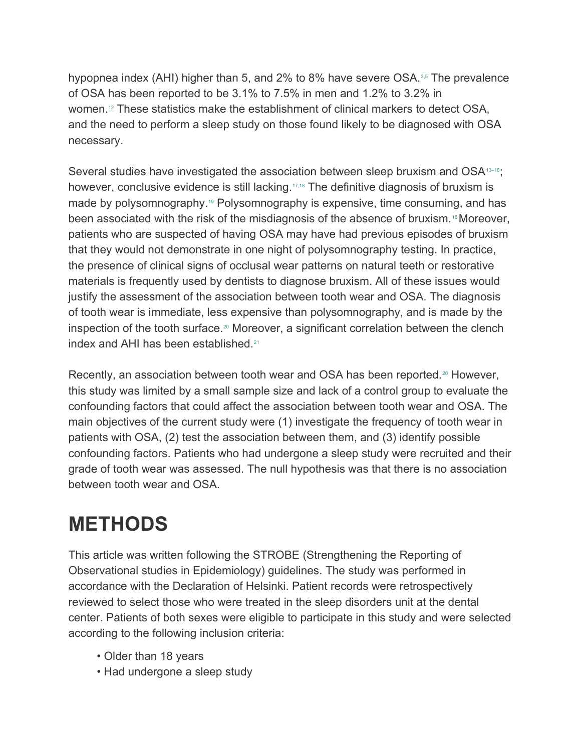hypopnea index (AHI) higher than 5, and [2](https://aadsm.org/journal/original_article_4_issue_42.php#2)% to 8% have severe OSA.<sup>2[,5](https://aadsm.org/journal/original_article_4_issue_42.php#5)</sup> The prevalence of OSA has been reported to be 3.1% to 7.5% in men and 1.2% to 3.2% in women.[12](https://aadsm.org/journal/original_article_4_issue_42.php#12) These statistics make the establishment of clinical markers to detect OSA, and the need to perform a sleep study on those found likely to be diagnosed with OSA necessary.

Several studies have investigated the association between sleep bruxism and OSA<sup>13-16</sup>; however, conclusive evidence is still lacking.<sup>[17,](https://aadsm.org/journal/original_article_4_issue_42.php#17)[18](https://aadsm.org/journal/original_article_4_issue_42.php#18)</sup> The definitive diagnosis of bruxism is made by polysomnography.<sup>[19](https://aadsm.org/journal/original_article_4_issue_42.php#19)</sup> Polysomnography is expensive, time consuming, and has been associated with the risk of the misdiagnosis of the absence of bruxism.<sup>[18](https://aadsm.org/journal/original_article_4_issue_42.php#18)</sup>Moreover, patients who are suspected of having OSA may have had previous episodes of bruxism that they would not demonstrate in one night of polysomnography testing. In practice, the presence of clinical signs of occlusal wear patterns on natural teeth or restorative materials is frequently used by dentists to diagnose bruxism. All of these issues would justify the assessment of the association between tooth wear and OSA. The diagnosis of tooth wear is immediate, less expensive than polysomnography, and is made by the inspection of the tooth surface.<sup>[20](https://aadsm.org/journal/original_article_4_issue_42.php#20)</sup> Moreover, a significant correlation between the clench index and AHI has been established.<sup>[21](https://aadsm.org/journal/original_article_4_issue_42.php#21)</sup>

Recently, an association between tooth wear and OSA has been reported.<sup>[20](https://aadsm.org/journal/original_article_4_issue_42.php#20)</sup> However, this study was limited by a small sample size and lack of a control group to evaluate the confounding factors that could affect the association between tooth wear and OSA. The main objectives of the current study were (1) investigate the frequency of tooth wear in patients with OSA, (2) test the association between them, and (3) identify possible confounding factors. Patients who had undergone a sleep study were recruited and their grade of tooth wear was assessed. The null hypothesis was that there is no association between tooth wear and OSA.

## **METHODS**

This article was written following the STROBE (Strengthening the Reporting of Observational studies in Epidemiology) guidelines. The study was performed in accordance with the Declaration of Helsinki. Patient records were retrospectively reviewed to select those who were treated in the sleep disorders unit at the dental center. Patients of both sexes were eligible to participate in this study and were selected according to the following inclusion criteria:

- Older than 18 years
- Had undergone a sleep study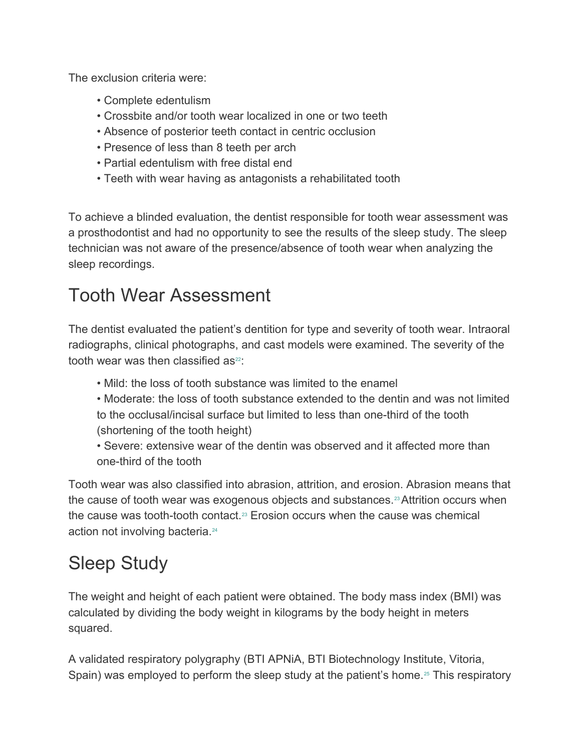The exclusion criteria were:

- Complete edentulism
- Crossbite and/or tooth wear localized in one or two teeth
- Absence of posterior teeth contact in centric occlusion
- Presence of less than 8 teeth per arch
- Partial edentulism with free distal end
- Teeth with wear having as antagonists a rehabilitated tooth

To achieve a blinded evaluation, the dentist responsible for tooth wear assessment was a prosthodontist and had no opportunity to see the results of the sleep study. The sleep technician was not aware of the presence/absence of tooth wear when analyzing the sleep recordings.

### Tooth Wear Assessment

The dentist evaluated the patient's dentition for type and severity of tooth wear. Intraoral radiographs, clinical photographs, and cast models were examined. The severity of the tooth wear was then classified as $22$ :

- Mild: the loss of tooth substance was limited to the enamel
- Moderate: the loss of tooth substance extended to the dentin and was not limited to the occlusal/incisal surface but limited to less than one-third of the tooth (shortening of the tooth height)
- Severe: extensive wear of the dentin was observed and it affected more than one-third of the tooth

Tooth wear was also classified into abrasion, attrition, and erosion. Abrasion means that the cause of tooth wear was exogenous objects and substances.<sup>[23](https://aadsm.org/journal/original_article_4_issue_42.php#23)</sup> Attrition occurs when the cause was tooth-tooth contact.<sup>[23](https://aadsm.org/journal/original_article_4_issue_42.php#23)</sup> Erosion occurs when the cause was chemical action not involving bacteria.<sup>[24](https://aadsm.org/journal/original_article_4_issue_42.php#24)</sup>

## Sleep Study

The weight and height of each patient were obtained. The body mass index (BMI) was calculated by dividing the body weight in kilograms by the body height in meters squared.

A validated respiratory polygraphy (BTI APNiA, BTI Biotechnology Institute, Vitoria, Spain) was employed to perform the sleep study at the patient's home.<sup>[25](https://aadsm.org/journal/original_article_4_issue_42.php#25)</sup> This respiratory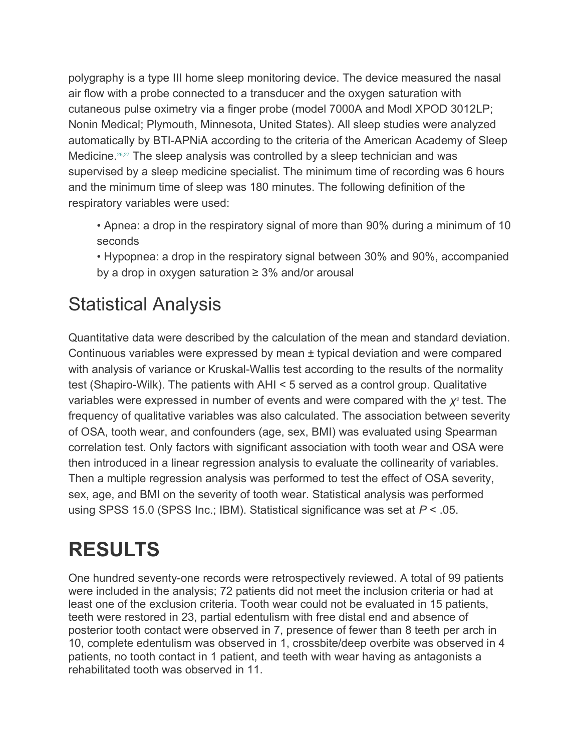polygraphy is a type III home sleep monitoring device. The device measured the nasal air flow with a probe connected to a transducer and the oxygen saturation with cutaneous pulse oximetry via a finger probe (model 7000A and Modl XPOD 3012LP; Nonin Medical; Plymouth, Minnesota, United States). All sleep studies were analyzed automatically by BTI-APNiA according to the criteria of the American Academy of Sleep Medicine.<sup>[26](https://aadsm.org/journal/original_article_4_issue_42.php#26)[,27](https://aadsm.org/journal/original_article_4_issue_42.php#27)</sup> The sleep analysis was controlled by a sleep technician and was supervised by a sleep medicine specialist. The minimum time of recording was 6 hours and the minimum time of sleep was 180 minutes. The following definition of the respiratory variables were used:

- Apnea: a drop in the respiratory signal of more than 90% during a minimum of 10 seconds
- Hypopnea: a drop in the respiratory signal between 30% and 90%, accompanied by a drop in oxygen saturation ≥ 3% and/or arousal

### Statistical Analysis

Quantitative data were described by the calculation of the mean and standard deviation. Continuous variables were expressed by mean ± typical deviation and were compared with analysis of variance or Kruskal-Wallis test according to the results of the normality test (Shapiro-Wilk). The patients with AHI < 5 served as a control group. Qualitative variables were expressed in number of events and were compared with the  $\chi^2$  test. The frequency of qualitative variables was also calculated. The association between severity of OSA, tooth wear, and confounders (age, sex, BMI) was evaluated using Spearman correlation test. Only factors with significant association with tooth wear and OSA were then introduced in a linear regression analysis to evaluate the collinearity of variables. Then a multiple regression analysis was performed to test the effect of OSA severity, sex, age, and BMI on the severity of tooth wear. Statistical analysis was performed using SPSS 15.0 (SPSS Inc.; IBM). Statistical significance was set at *P* < .05.

# **RESULTS**

One hundred seventy-one records were retrospectively reviewed. A total of 99 patients were included in the analysis; 72 patients did not meet the inclusion criteria or had at least one of the exclusion criteria. Tooth wear could not be evaluated in 15 patients, teeth were restored in 23, partial edentulism with free distal end and absence of posterior tooth contact were observed in 7, presence of fewer than 8 teeth per arch in 10, complete edentulism was observed in 1, crossbite/deep overbite was observed in 4 patients, no tooth contact in 1 patient, and teeth with wear having as antagonists a rehabilitated tooth was observed in 11.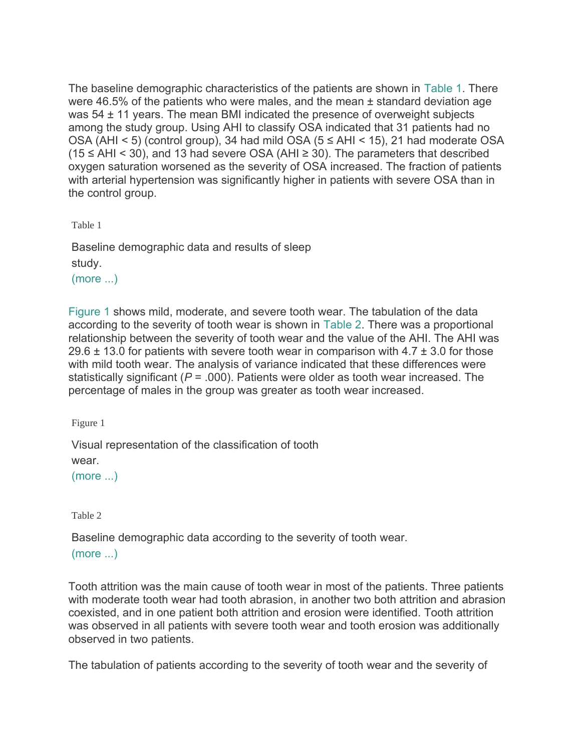The baseline demographic characteristics of the patients are shown in [Table 1.](https://aadsm.org/journal/original_article_4_issue_42.php#Table%201) There were 46.5% of the patients who were males, and the mean ± standard deviation age was 54  $\pm$  11 years. The mean BMI indicated the presence of overweight subjects among the study group. Using AHI to classify OSA indicated that 31 patients had no OSA (AHI < 5) (control group), 34 had mild OSA (5 ≤ AHI < 15), 21 had moderate OSA  $(15 \leq AHI < 30)$ , and 13 had severe OSA (AHI  $\geq 30$ ). The parameters that described oxygen saturation worsened as the severity of OSA increased. The fraction of patients with arterial hypertension was significantly higher in patients with severe OSA than in the control group.

Table 1

Baseline demographic data and results of sleep study. [\(more ...\)](http://aadsm.org/docs/Anitua_Table_1.PNG)

[Figure 1](https://aadsm.org/journal/original_article_4_issue_42.php#Figure%201) shows mild, moderate, and severe tooth wear. The tabulation of the data according to the severity of tooth wear is shown in [Table 2.](https://aadsm.org/journal/original_article_4_issue_42.php#Table%202) There was a proportional relationship between the severity of tooth wear and the value of the AHI. The AHI was 29.6  $\pm$  13.0 for patients with severe tooth wear in comparison with 4.7  $\pm$  3.0 for those with mild tooth wear. The analysis of variance indicated that these differences were statistically significant (*P* = .000). Patients were older as tooth wear increased. The percentage of males in the group was greater as tooth wear increased.

Figure 1

Visual representation of the classification of tooth wear. [\(more ...\)](http://aadsm.org/docs/Anitua_Figure_1.PNG)

Table 2

Baseline demographic data according to the severity of tooth wear. [\(more ...\)](http://aadsm.org/docs/Anitua_Table_2.PNG)

Tooth attrition was the main cause of tooth wear in most of the patients. Three patients with moderate tooth wear had tooth abrasion, in another two both attrition and abrasion coexisted, and in one patient both attrition and erosion were identified. Tooth attrition was observed in all patients with severe tooth wear and tooth erosion was additionally observed in two patients.

The tabulation of patients according to the severity of tooth wear and the severity of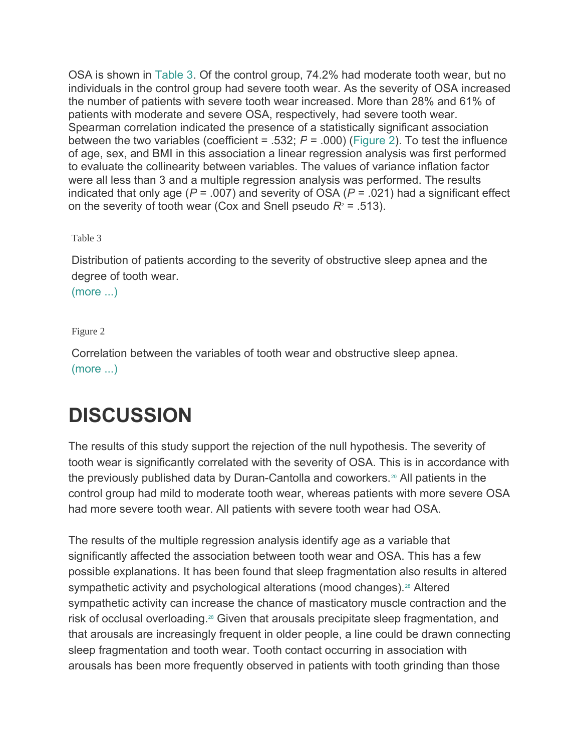OSA is shown in [Table 3.](https://aadsm.org/journal/original_article_4_issue_42.php#Table%203) Of the control group, 74.2% had moderate tooth wear, but no individuals in the control group had severe tooth wear. As the severity of OSA increased the number of patients with severe tooth wear increased. More than 28% and 61% of patients with moderate and severe OSA, respectively, had severe tooth wear. Spearman correlation indicated the presence of a statistically significant association between the two variables (coefficient = .532; *P* = .000) [\(Figure 2\)](https://aadsm.org/journal/original_article_4_issue_42.php#Figure%202). To test the influence of age, sex, and BMI in this association a linear regression analysis was first performed to evaluate the collinearity between variables. The values of variance inflation factor were all less than 3 and a multiple regression analysis was performed. The results indicated that only age ( $P = .007$ ) and severity of OSA ( $P = .021$ ) had a significant effect on the severity of tooth wear (Cox and Snell pseudo *R<sup>2</sup>* = .513).

Table 3

Distribution of patients according to the severity of obstructive sleep apnea and the degree of tooth wear.

[\(more ...\)](http://aadsm.org/docs/Anitua_Table_3.PNG)

Figure 2

Correlation between the variables of tooth wear and obstructive sleep apnea. [\(more ...\)](http://aadsm.org/docs/Anitua_Figure_2.PNG)

# **DISCUSSION**

The results of this study support the rejection of the null hypothesis. The severity of tooth wear is significantly correlated with the severity of OSA. This is in accordance with the previously published data by Duran-Cantolla and coworkers.<sup>[20](https://aadsm.org/journal/original_article_4_issue_42.php#20)</sup> All patients in the control group had mild to moderate tooth wear, whereas patients with more severe OSA had more severe tooth wear. All patients with severe tooth wear had OSA.

The results of the multiple regression analysis identify age as a variable that significantly affected the association between tooth wear and OSA. This has a few possible explanations. It has been found that sleep fragmentation also results in altered sympathetic activity and psychological alterations (mood changes).<sup>[28](https://aadsm.org/journal/original_article_4_issue_42.php#28)</sup> Altered sympathetic activity can increase the chance of masticatory muscle contraction and the risk of occlusal overloading.<sup>[28](https://aadsm.org/journal/original_article_4_issue_42.php#28)</sup> Given that arousals precipitate sleep fragmentation, and that arousals are increasingly frequent in older people, a line could be drawn connecting sleep fragmentation and tooth wear. Tooth contact occurring in association with arousals has been more frequently observed in patients with tooth grinding than those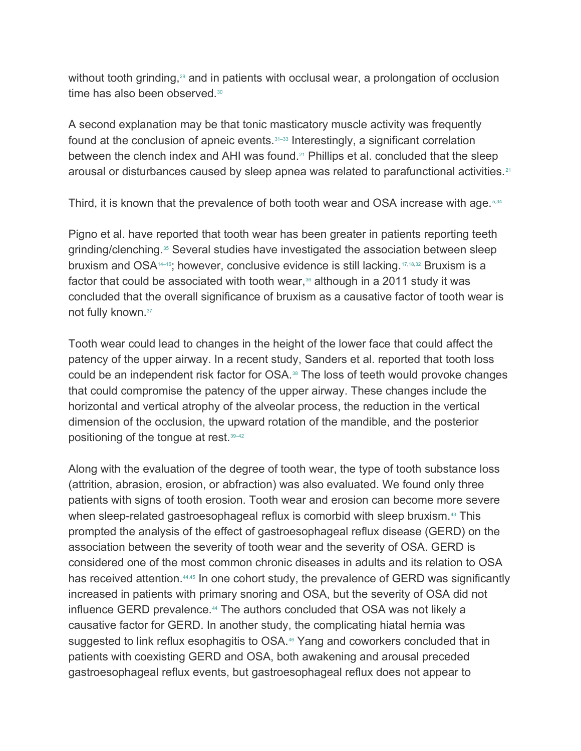without tooth grinding,<sup>[29](https://aadsm.org/journal/original_article_4_issue_42.php#29)</sup> and in patients with occlusal wear, a prolongation of occlusion time has also been observed.<sup>[30](https://aadsm.org/journal/original_article_4_issue_42.php#30)</sup>

A second explanation may be that tonic masticatory muscle activity was frequently found at the conclusion of apneic events.<sup>31-33</sup> Interestingly, a significant correlation between the clench index and AHI was found.<sup>[21](https://aadsm.org/journal/original_article_4_issue_42.php#21)</sup> Phillips et al. concluded that the sleep arousal or disturbances caused by sleep apnea was related to parafunctional activities.<sup>[21](https://aadsm.org/journal/original_article_4_issue_42.php#21)</sup>

Third, it is known that the prevalence of both tooth wear and OSA increase with age.  $5,34$  $5,34$ 

Pigno et al. have reported that tooth wear has been greater in patients reporting teeth grinding/clenching.<sup>[35](https://aadsm.org/journal/original_article_4_issue_42.php#35)</sup> Several studies have investigated the association between sleep bruxism and OSA<sup>14-16</sup>; however, conclusive evidence is still lacking.<sup>[17,](https://aadsm.org/journal/original_article_4_issue_42.php#17)[18](https://aadsm.org/journal/original_article_4_issue_42.php#18)[,32](https://aadsm.org/journal/original_article_4_issue_42.php#32)</sup> Bruxism is a factor that could be associated with tooth wear, $36$  although in a 2011 study it was concluded that the overall significance of bruxism as a causative factor of tooth wear is not fully known.<sup>[37](https://aadsm.org/journal/original_article_4_issue_42.php#37)</sup>

Tooth wear could lead to changes in the height of the lower face that could affect the patency of the upper airway. In a recent study, Sanders et al. reported that tooth loss could be an independent risk factor for OSA.<sup>[38](https://aadsm.org/journal/original_article_4_issue_42.php#38)</sup> The loss of teeth would provoke changes that could compromise the patency of the upper airway. These changes include the horizontal and vertical atrophy of the alveolar process, the reduction in the vertical dimension of the occlusion, the upward rotation of the mandible, and the posterior positioning of the tongue at rest.[39–42](https://aadsm.org/journal/original_article_4_issue_42.php#39)

Along with the evaluation of the degree of tooth wear, the type of tooth substance loss (attrition, abrasion, erosion, or abfraction) was also evaluated. We found only three patients with signs of tooth erosion. Tooth wear and erosion can become more severe when sleep-related gastroesophageal reflux is comorbid with sleep bruxism.<sup>[43](https://aadsm.org/journal/original_article_4_issue_42.php#43)</sup> This prompted the analysis of the effect of gastroesophageal reflux disease (GERD) on the association between the severity of tooth wear and the severity of OSA. GERD is considered one of the most common chronic diseases in adults and its relation to OSA has received attention.<sup>[44](https://aadsm.org/journal/original_article_4_issue_42.php#44)[,45](https://aadsm.org/journal/original_article_4_issue_42.php#45)</sup> In one cohort study, the prevalence of GERD was significantly increased in patients with primary snoring and OSA, but the severity of OSA did not influence GERD prevalence.<sup>[44](https://aadsm.org/journal/original_article_4_issue_42.php#44)</sup> The authors concluded that OSA was not likely a causative factor for GERD. In another study, the complicating hiatal hernia was suggested to link reflux esophagitis to OSA.<sup>[46](https://aadsm.org/journal/original_article_4_issue_42.php#46)</sup> Yang and coworkers concluded that in patients with coexisting GERD and OSA, both awakening and arousal preceded gastroesophageal reflux events, but gastroesophageal reflux does not appear to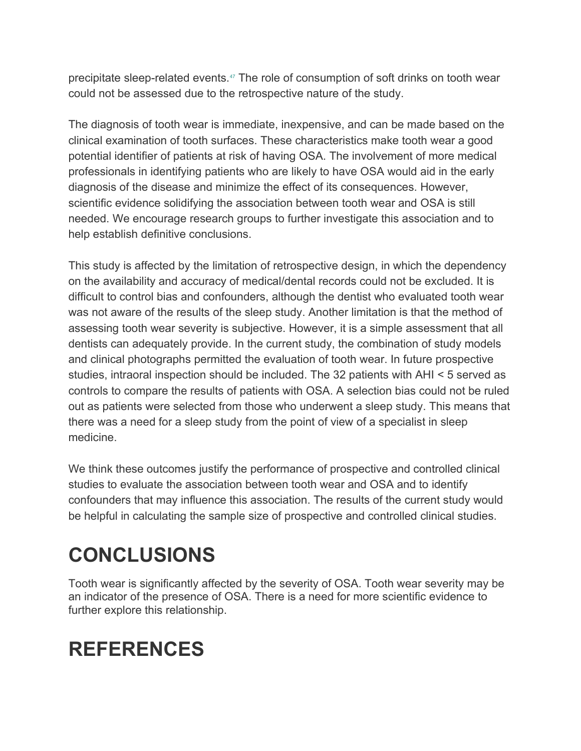precipitate sleep-related events.[47](https://aadsm.org/journal/original_article_4_issue_42.php#47) The role of consumption of soft drinks on tooth wear could not be assessed due to the retrospective nature of the study.

The diagnosis of tooth wear is immediate, inexpensive, and can be made based on the clinical examination of tooth surfaces. These characteristics make tooth wear a good potential identifier of patients at risk of having OSA. The involvement of more medical professionals in identifying patients who are likely to have OSA would aid in the early diagnosis of the disease and minimize the effect of its consequences. However, scientific evidence solidifying the association between tooth wear and OSA is still needed. We encourage research groups to further investigate this association and to help establish definitive conclusions.

This study is affected by the limitation of retrospective design, in which the dependency on the availability and accuracy of medical/dental records could not be excluded. It is difficult to control bias and confounders, although the dentist who evaluated tooth wear was not aware of the results of the sleep study. Another limitation is that the method of assessing tooth wear severity is subjective. However, it is a simple assessment that all dentists can adequately provide. In the current study, the combination of study models and clinical photographs permitted the evaluation of tooth wear. In future prospective studies, intraoral inspection should be included. The 32 patients with AHI < 5 served as controls to compare the results of patients with OSA. A selection bias could not be ruled out as patients were selected from those who underwent a sleep study. This means that there was a need for a sleep study from the point of view of a specialist in sleep medicine.

We think these outcomes justify the performance of prospective and controlled clinical studies to evaluate the association between tooth wear and OSA and to identify confounders that may influence this association. The results of the current study would be helpful in calculating the sample size of prospective and controlled clinical studies.

# **CONCLUSIONS**

Tooth wear is significantly affected by the severity of OSA. Tooth wear severity may be an indicator of the presence of OSA. There is a need for more scientific evidence to further explore this relationship.

## **REFERENCES**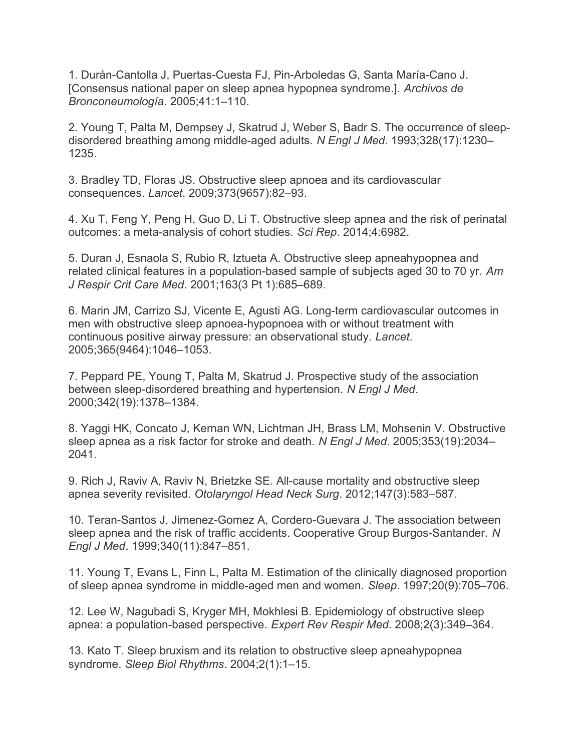1. Durán-Cantolla J, Puertas-Cuesta FJ, Pin-Arboledas G, Santa María-Cano J. [Consensus national paper on sleep apnea hypopnea syndrome.]. *Archivos de Bronconeumología*. 2005;41:1–110.

2. Young T, Palta M, Dempsey J, Skatrud J, Weber S, Badr S. The occurrence of sleepdisordered breathing among middle-aged adults. *N Engl J Med*. 1993;328(17):1230– 1235.

3. Bradley TD, Floras JS. Obstructive sleep apnoea and its cardiovascular consequences. *Lancet*. 2009;373(9657):82–93.

4. Xu T, Feng Y, Peng H, Guo D, Li T. Obstructive sleep apnea and the risk of perinatal outcomes: a meta-analysis of cohort studies. *Sci Rep*. 2014;4:6982.

5. Duran J, Esnaola S, Rubio R, Iztueta A. Obstructive sleep apneahypopnea and related clinical features in a population-based sample of subjects aged 30 to 70 yr. *Am J Respir Crit Care Med*. 2001;163(3 Pt 1):685–689.

6. Marin JM, Carrizo SJ, Vicente E, Agusti AG. Long-term cardiovascular outcomes in men with obstructive sleep apnoea-hypopnoea with or without treatment with continuous positive airway pressure: an observational study. *Lancet*. 2005;365(9464):1046–1053.

7. Peppard PE, Young T, Palta M, Skatrud J. Prospective study of the association between sleep-disordered breathing and hypertension. *N Engl J Med*. 2000;342(19):1378–1384.

8. Yaggi HK, Concato J, Kernan WN, Lichtman JH, Brass LM, Mohsenin V. Obstructive sleep apnea as a risk factor for stroke and death. *N Engl J Med*. 2005;353(19):2034– 2041.

9. Rich J, Raviv A, Raviv N, Brietzke SE. All-cause mortality and obstructive sleep apnea severity revisited. *Otolaryngol Head Neck Surg*. 2012;147(3):583–587.

10. Teran-Santos J, Jimenez-Gomez A, Cordero-Guevara J. The association between sleep apnea and the risk of traffic accidents. Cooperative Group Burgos-Santander. *N Engl J Med*. 1999;340(11):847–851.

11. Young T, Evans L, Finn L, Palta M. Estimation of the clinically diagnosed proportion of sleep apnea syndrome in middle-aged men and women. *Sleep*. 1997;20(9):705–706.

12. Lee W, Nagubadi S, Kryger MH, Mokhlesi B. Epidemiology of obstructive sleep apnea: a population-based perspective. *Expert Rev Respir Med*. 2008;2(3):349–364.

13. Kato T. Sleep bruxism and its relation to obstructive sleep apneahypopnea syndrome. *Sleep Biol Rhythms*. 2004;2(1):1–15.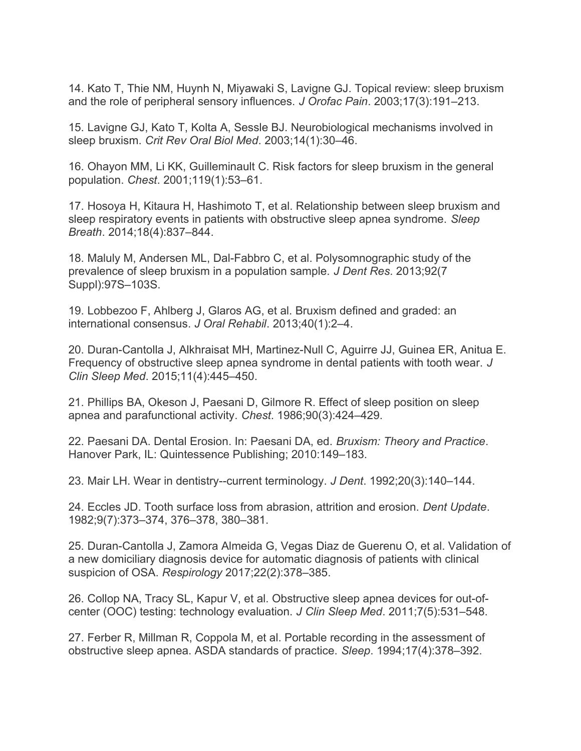14. Kato T, Thie NM, Huynh N, Miyawaki S, Lavigne GJ. Topical review: sleep bruxism and the role of peripheral sensory influences. *J Orofac Pain*. 2003;17(3):191–213.

15. Lavigne GJ, Kato T, Kolta A, Sessle BJ. Neurobiological mechanisms involved in sleep bruxism. *Crit Rev Oral Biol Med*. 2003;14(1):30–46.

16. Ohayon MM, Li KK, Guilleminault C. Risk factors for sleep bruxism in the general population. *Chest*. 2001;119(1):53–61.

17. Hosoya H, Kitaura H, Hashimoto T, et al. Relationship between sleep bruxism and sleep respiratory events in patients with obstructive sleep apnea syndrome. *Sleep Breath*. 2014;18(4):837–844.

18. Maluly M, Andersen ML, Dal-Fabbro C, et al. Polysomnographic study of the prevalence of sleep bruxism in a population sample. *J Dent Res*. 2013;92(7 Suppl):97S–103S.

19. Lobbezoo F, Ahlberg J, Glaros AG, et al. Bruxism defined and graded: an international consensus. *J Oral Rehabil*. 2013;40(1):2–4.

20. Duran-Cantolla J, Alkhraisat MH, Martinez-Null C, Aguirre JJ, Guinea ER, Anitua E. Frequency of obstructive sleep apnea syndrome in dental patients with tooth wear. *J Clin Sleep Med*. 2015;11(4):445–450.

21. Phillips BA, Okeson J, Paesani D, Gilmore R. Effect of sleep position on sleep apnea and parafunctional activity. *Chest*. 1986;90(3):424–429.

22. Paesani DA. Dental Erosion. In: Paesani DA, ed. *Bruxism: Theory and Practice*. Hanover Park, IL: Quintessence Publishing; 2010:149–183.

23. Mair LH. Wear in dentistry--current terminology. *J Dent*. 1992;20(3):140–144.

24. Eccles JD. Tooth surface loss from abrasion, attrition and erosion. *Dent Update*. 1982;9(7):373–374, 376–378, 380–381.

25. Duran-Cantolla J, Zamora Almeida G, Vegas Diaz de Guerenu O, et al. Validation of a new domiciliary diagnosis device for automatic diagnosis of patients with clinical suspicion of OSA. *Respirology* 2017;22(2):378–385.

26. Collop NA, Tracy SL, Kapur V, et al. Obstructive sleep apnea devices for out-ofcenter (OOC) testing: technology evaluation. *J Clin Sleep Med*. 2011;7(5):531–548.

27. Ferber R, Millman R, Coppola M, et al. Portable recording in the assessment of obstructive sleep apnea. ASDA standards of practice. *Sleep*. 1994;17(4):378–392.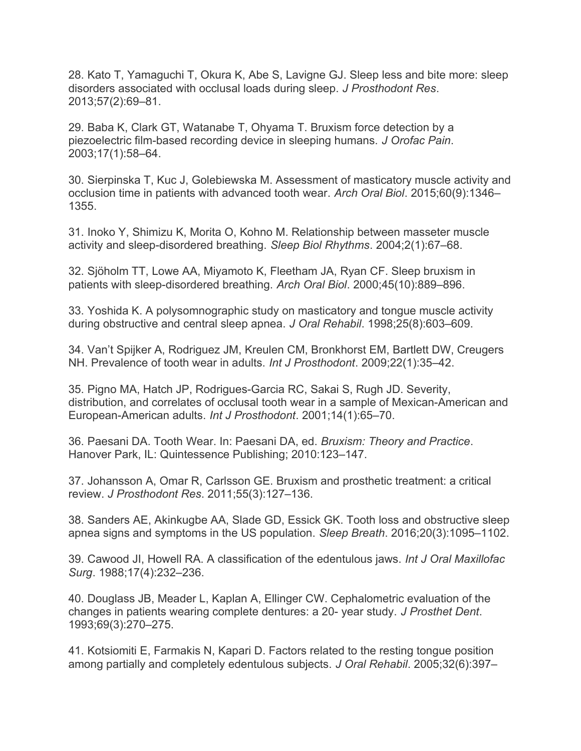28. Kato T, Yamaguchi T, Okura K, Abe S, Lavigne GJ. Sleep less and bite more: sleep disorders associated with occlusal loads during sleep. *J Prosthodont Res*. 2013;57(2):69–81.

29. Baba K, Clark GT, Watanabe T, Ohyama T. Bruxism force detection by a piezoelectric film-based recording device in sleeping humans. *J Orofac Pain*. 2003;17(1):58–64.

30. Sierpinska T, Kuc J, Golebiewska M. Assessment of masticatory muscle activity and occlusion time in patients with advanced tooth wear. *Arch Oral Biol*. 2015;60(9):1346– 1355.

31. Inoko Y, Shimizu K, Morita O, Kohno M. Relationship between masseter muscle activity and sleep-disordered breathing. *Sleep Biol Rhythms*. 2004;2(1):67–68.

32. Sjöholm TT, Lowe AA, Miyamoto K, Fleetham JA, Ryan CF. Sleep bruxism in patients with sleep-disordered breathing. *Arch Oral Biol*. 2000;45(10):889–896.

33. Yoshida K. A polysomnographic study on masticatory and tongue muscle activity during obstructive and central sleep apnea. *J Oral Rehabil*. 1998;25(8):603–609.

34. Van't Spijker A, Rodriguez JM, Kreulen CM, Bronkhorst EM, Bartlett DW, Creugers NH. Prevalence of tooth wear in adults. *Int J Prosthodont*. 2009;22(1):35–42.

35. Pigno MA, Hatch JP, Rodrigues-Garcia RC, Sakai S, Rugh JD. Severity, distribution, and correlates of occlusal tooth wear in a sample of Mexican-American and European-American adults. *Int J Prosthodont*. 2001;14(1):65–70.

36. Paesani DA. Tooth Wear. In: Paesani DA, ed. *Bruxism: Theory and Practice*. Hanover Park, IL: Quintessence Publishing; 2010:123–147.

37. Johansson A, Omar R, Carlsson GE. Bruxism and prosthetic treatment: a critical review. *J Prosthodont Res*. 2011;55(3):127–136.

38. Sanders AE, Akinkugbe AA, Slade GD, Essick GK. Tooth loss and obstructive sleep apnea signs and symptoms in the US population. *Sleep Breath*. 2016;20(3):1095–1102.

39. Cawood JI, Howell RA. A classification of the edentulous jaws. *Int J Oral Maxillofac Surg*. 1988;17(4):232–236.

40. Douglass JB, Meader L, Kaplan A, Ellinger CW. Cephalometric evaluation of the changes in patients wearing complete dentures: a 20- year study. *J Prosthet Dent*. 1993;69(3):270–275.

41. Kotsiomiti E, Farmakis N, Kapari D. Factors related to the resting tongue position among partially and completely edentulous subjects. *J Oral Rehabil*. 2005;32(6):397–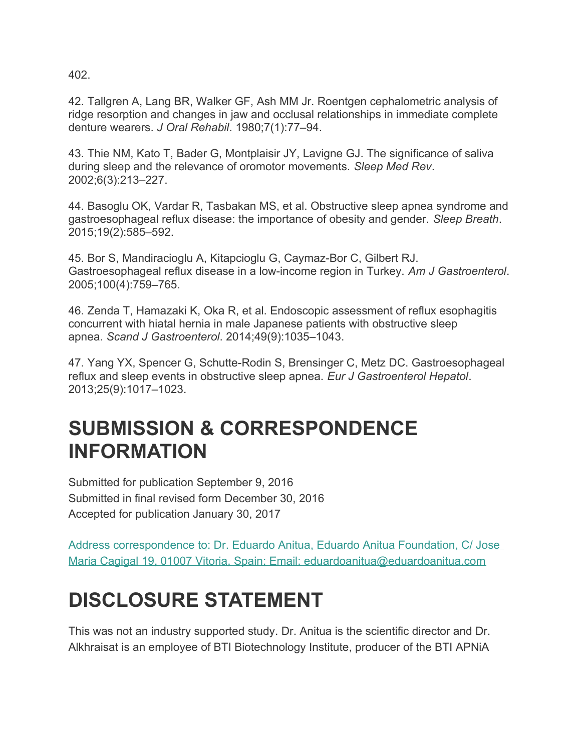402.

42. Tallgren A, Lang BR, Walker GF, Ash MM Jr. Roentgen cephalometric analysis of ridge resorption and changes in jaw and occlusal relationships in immediate complete denture wearers. *J Oral Rehabil*. 1980;7(1):77–94.

43. Thie NM, Kato T, Bader G, Montplaisir JY, Lavigne GJ. The significance of saliva during sleep and the relevance of oromotor movements. *Sleep Med Rev*. 2002;6(3):213–227.

44. Basoglu OK, Vardar R, Tasbakan MS, et al. Obstructive sleep apnea syndrome and gastroesophageal reflux disease: the importance of obesity and gender. *Sleep Breath*. 2015;19(2):585–592.

45. Bor S, Mandiracioglu A, Kitapcioglu G, Caymaz-Bor C, Gilbert RJ. Gastroesophageal reflux disease in a low-income region in Turkey. *Am J Gastroenterol*. 2005;100(4):759–765.

46. Zenda T, Hamazaki K, Oka R, et al. Endoscopic assessment of reflux esophagitis concurrent with hiatal hernia in male Japanese patients with obstructive sleep apnea. *Scand J Gastroenterol*. 2014;49(9):1035–1043.

47. Yang YX, Spencer G, Schutte-Rodin S, Brensinger C, Metz DC. Gastroesophageal reflux and sleep events in obstructive sleep apnea. *Eur J Gastroenterol Hepatol*. 2013;25(9):1017–1023.

## **SUBMISSION & CORRESPONDENCE INFORMATION**

Submitted for publication September 9, 2016 Submitted in final revised form December 30, 2016 Accepted for publication January 30, 2017

[Address correspondence to: Dr. Eduardo Anitua, Eduardo Anitua Foundation, C/ Jose](mailto:eduardoanitua@eduardoanitua.com)  [Maria Cagigal 19, 01007 Vitoria, Spain; Email: eduardoanitua@eduardoanitua.com](mailto:eduardoanitua@eduardoanitua.com)

# **DISCLOSURE STATEMENT**

This was not an industry supported study. Dr. Anitua is the scientific director and Dr. Alkhraisat is an employee of BTI Biotechnology Institute, producer of the BTI APNiA